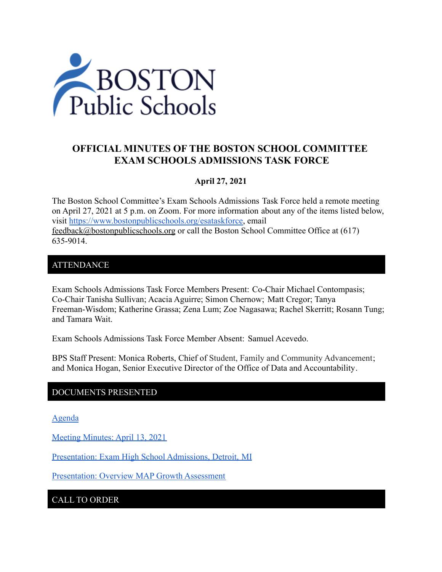

# **OFFICIAL MINUTES OF THE BOSTON SCHOOL COMMITTEE EXAM SCHOOLS ADMISSIONS TASK FORCE**

### **April 27, 2021**

The Boston School Committee's Exam Schools Admissions Task Force held a remote meeting on April 27, 2021 at 5 p.m. on Zoom. For more information about any of the items listed below, visit [https://www.bostonpublicschools.org/esataskforce,](https://www.bostonpublicschools.org/esataskforce) email [feedback@bostonpublicschools.org](mailto:feedback@bostonpublicschools.org) or call the Boston School Committee Office at (617) 635-9014.

### ATTENDANCE

Exam Schools Admissions Task Force Members Present: Co-Chair Michael Contompasis; Co-Chair Tanisha Sullivan; Acacia Aguirre; Simon Chernow; Matt Cregor; Tanya Freeman-Wisdom; Katherine Grassa; Zena Lum; Zoe Nagasawa; Rachel Skerritt; Rosann Tung; and Tamara Wait.

Exam Schools Admissions Task Force Member Absent: Samuel Acevedo.

BPS Staff Present: Monica Roberts, Chief of Student, Family and Community Advancement; and Monica Hogan, Senior Executive Director of the Office of Data and Accountability.

### DOCUMENTS PRESENTED

[Agenda](https://www.boston.gov/public-notices/15000506)

[Meeting Minutes: April 13, 2021](https://www.bostonpublicschools.org/cms/lib/MA01906464/Centricity/Domain/2931/Minutes%204%2013%2021%20Exam%20School%20Admission%20TF%20Meeting.docx.pdf)

Presentation: [Exam High School Admissions, Detroit,](https://www.bostonpublicschools.org/cms/lib/MA01906464/Centricity/Domain/2931/EHS%20Presentation%20for%20Boston%20Public%20Schools%20April%2027%202021.pdf) MI

[Presentation: Overview MAP Growth Assessment](https://www.bostonpublicschools.org/cms/lib/MA01906464/Centricity/Domain/2931/Overview%20MAP%20Growth%20Exam%20School%20Task%20Force%204%2027.pdf)

CALL TO ORDER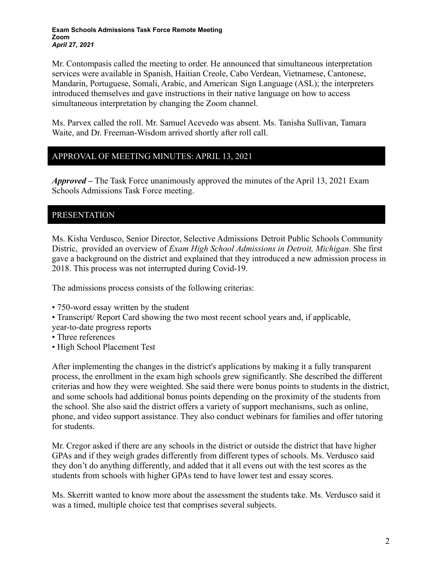Mr. Contompasis called the meeting to order. He announced that simultaneous interpretation services were available in Spanish, Haitian Creole, Cabo Verdean, Vietnamese, Cantonese, Mandarin, Portuguese, Somali, Arabic, and American Sign Language (ASL); the interpreters introduced themselves and gave instructions in their native language on how to access simultaneous interpretation by changing the Zoom channel.

Ms. Parvex called the roll. Mr. Samuel Acevedo was absent. Ms. Tanisha Sullivan, Tamara Waite, and Dr. Freeman-Wisdom arrived shortly after roll call.

# APPROVAL OF MEETING MINUTES: APRIL 13, 2021

*Approved –* The Task Force unanimously approved the minutes of the April 13, 2021 Exam Schools Admissions Task Force meeting.

## PRESENTATION

Ms. Kisha Verdusco, Senior Director, Selective Admissions Detroit Public Schools Community Distric, provided an overview of *Exam High School Admissions in Detroit, Michigan*. She first gave a background on the district and explained that they introduced a new admission process in 2018. This process was not interrupted during Covid-19.

The admissions process consists of the following criterias:

- 750-word essay written by the student
- Transcript/ Report Card showing the two most recent school years and, if applicable,

year-to-date progress reports

- Three references
- High School Placement Test

After implementing the changes in the district's applications by making it a fully transparent process, the enrollment in the exam high schools grew significantly. She described the different criterias and how they were weighted. She said there were bonus points to students in the district, and some schools had additional bonus points depending on the proximity of the students from the school. She also said the district offers a variety of support mechanisms, such as online, phone, and video support assistance. They also conduct webinars for families and offer tutoring for students.

Mr. Cregor asked if there are any schools in the district or outside the district that have higher GPAs and if they weigh grades differently from different types of schools. Ms. Verdusco said they don't do anything differently, and added that it all evens out with the test scores as the students from schools with higher GPAs tend to have lower test and essay scores.

Ms. Skerritt wanted to know more about the assessment the students take. Ms. Verdusco said it was a timed, multiple choice test that comprises several subjects.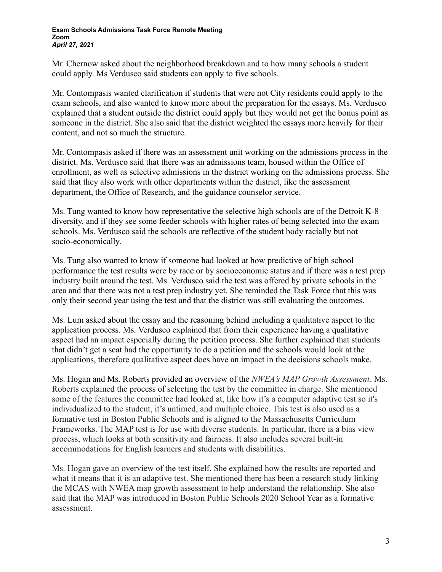Mr. Chernow asked about the neighborhood breakdown and to how many schools a student could apply. Ms Verdusco said students can apply to five schools.

Mr. Contompasis wanted clarification if students that were not City residents could apply to the exam schools, and also wanted to know more about the preparation for the essays. Ms. Verdusco explained that a student outside the district could apply but they would not get the bonus point as someone in the district. She also said that the district weighted the essays more heavily for their content, and not so much the structure.

Mr. Contompasis asked if there was an assessment unit working on the admissions process in the district. Ms. Verdusco said that there was an admissions team, housed within the Office of enrollment, as well as selective admissions in the district working on the admissions process. She said that they also work with other departments within the district, like the assessment department, the Office of Research, and the guidance counselor service.

Ms. Tung wanted to know how representative the selective high schools are of the Detroit K-8 diversity, and if they see some feeder schools with higher rates of being selected into the exam schools. Ms. Verdusco said the schools are reflective of the student body racially but not socio-economically.

Ms. Tung also wanted to know if someone had looked at how predictive of high school performance the test results were by race or by socioeconomic status and if there was a test prep industry built around the test. Ms. Verdusco said the test was offered by private schools in the area and that there was not a test prep industry yet. She reminded the Task Force that this was only their second year using the test and that the district was still evaluating the outcomes.

Ms. Lum asked about the essay and the reasoning behind including a qualitative aspect to the application process. Ms. Verdusco explained that from their experience having a qualitative aspect had an impact especially during the petition process. She further explained that students that didn't get a seat had the opportunity to do a petition and the schools would look at the applications, therefore qualitative aspect does have an impact in the decisions schools make.

Ms. Hogan and Ms. Roberts provided an overview of the *NWEA's MAP Growth Assessment*. Ms. Roberts explained the process of selecting the test by the committee in charge. She mentioned some of the features the committee had looked at, like how it's a computer adaptive test so it's individualized to the student, it's untimed, and multiple choice. This test is also used as a formative test in Boston Public Schools and is aligned to the Massachusetts Curriculum Frameworks. The MAP test is for use with diverse students. In particular, there is a bias view process, which looks at both sensitivity and fairness. It also includes several built-in accommodations for English learners and students with disabilities.

Ms. Hogan gave an overview of the test itself. She explained how the results are reported and what it means that it is an adaptive test. She mentioned there has been a research study linking the MCAS with NWEA map growth assessment to help understand the relationship. She also said that the MAP was introduced in Boston Public Schools 2020 School Year as a formative assessment.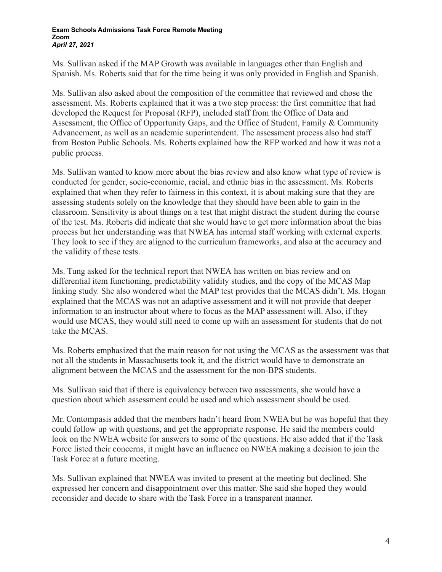Ms. Sullivan asked if the MAP Growth was available in languages other than English and Spanish. Ms. Roberts said that for the time being it was only provided in English and Spanish.

Ms. Sullivan also asked about the composition of the committee that reviewed and chose the assessment. Ms. Roberts explained that it was a two step process: the first committee that had developed the Request for Proposal (RFP), included staff from the Office of Data and Assessment, the Office of Opportunity Gaps, and the Office of Student, Family & Community Advancement, as well as an academic superintendent. The assessment process also had staff from Boston Public Schools. Ms. Roberts explained how the RFP worked and how it was not a public process.

Ms. Sullivan wanted to know more about the bias review and also know what type of review is conducted for gender, socio-economic, racial, and ethnic bias in the assessment. Ms. Roberts explained that when they refer to fairness in this context, it is about making sure that they are assessing students solely on the knowledge that they should have been able to gain in the classroom. Sensitivity is about things on a test that might distract the student during the course of the test. Ms. Roberts did indicate that she would have to get more information about the bias process but her understanding was that NWEA has internal staff working with external experts. They look to see if they are aligned to the curriculum frameworks, and also at the accuracy and the validity of these tests.

Ms. Tung asked for the technical report that NWEA has written on bias review and on differential item functioning, predictability validity studies, and the copy of the MCAS Map linking study. She also wondered what the MAP test provides that the MCAS didn't. Ms. Hogan explained that the MCAS was not an adaptive assessment and it will not provide that deeper information to an instructor about where to focus as the MAP assessment will. Also, if they would use MCAS, they would still need to come up with an assessment for students that do not take the MCAS.

Ms. Roberts emphasized that the main reason for not using the MCAS as the assessment was that not all the students in Massachusetts took it, and the district would have to demonstrate an alignment between the MCAS and the assessment for the non-BPS students.

Ms. Sullivan said that if there is equivalency between two assessments, she would have a question about which assessment could be used and which assessment should be used.

Mr. Contompasis added that the members hadn't heard from NWEA but he was hopeful that they could follow up with questions, and get the appropriate response. He said the members could look on the NWEA website for answers to some of the questions. He also added that if the Task Force listed their concerns, it might have an influence on NWEA making a decision to join the Task Force at a future meeting.

Ms. Sullivan explained that NWEA was invited to present at the meeting but declined. She expressed her concern and disappointment over this matter. She said she hoped they would reconsider and decide to share with the Task Force in a transparent manner.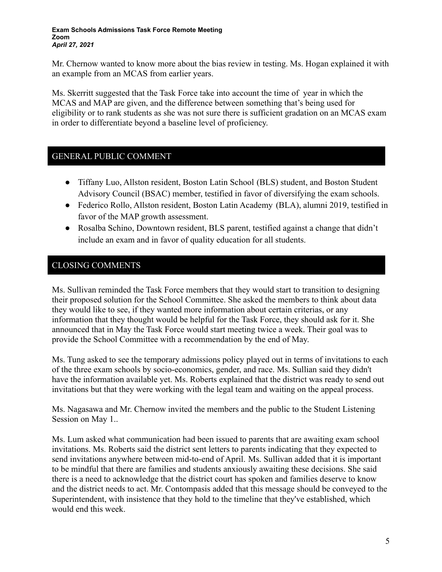Mr. Chernow wanted to know more about the bias review in testing. Ms. Hogan explained it with an example from an MCAS from earlier years.

Ms. Skerritt suggested that the Task Force take into account the time of year in which the MCAS and MAP are given, and the difference between something that's being used for eligibility or to rank students as she was not sure there is sufficient gradation on an MCAS exam in order to differentiate beyond a baseline level of proficiency.

# GENERAL PUBLIC COMMENT

- Tiffany Luo, Allston resident, Boston Latin School (BLS) student, and Boston Student Advisory Council (BSAC) member, testified in favor of diversifying the exam schools.
- Federico Rollo, Allston resident, Boston Latin Academy (BLA), alumni 2019, testified in favor of the MAP growth assessment.
- Rosalba Schino, Downtown resident, BLS parent, testified against a change that didn't include an exam and in favor of quality education for all students.

## CLOSING COMMENTS

Ms. Sullivan reminded the Task Force members that they would start to transition to designing their proposed solution for the School Committee. She asked the members to think about data they would like to see, if they wanted more information about certain criterias, or any information that they thought would be helpful for the Task Force, they should ask for it. She announced that in May the Task Force would start meeting twice a week. Their goal was to provide the School Committee with a recommendation by the end of May.

Ms. Tung asked to see the temporary admissions policy played out in terms of invitations to each of the three exam schools by socio-economics, gender, and race. Ms. Sullian said they didn't have the information available yet. Ms. Roberts explained that the district was ready to send out invitations but that they were working with the legal team and waiting on the appeal process.

Ms. Nagasawa and Mr. Chernow invited the members and the public to the Student Listening Session on May 1..

Ms. Lum asked what communication had been issued to parents that are awaiting exam school invitations. Ms. Roberts said the district sent letters to parents indicating that they expected to send invitations anywhere between mid-to-end of April. Ms. Sullivan added that it is important to be mindful that there are families and students anxiously awaiting these decisions. She said there is a need to acknowledge that the district court has spoken and families deserve to know and the district needs to act. Mr. Contompasis added that this message should be conveyed to the Superintendent, with insistence that they hold to the timeline that they've established, which would end this week.